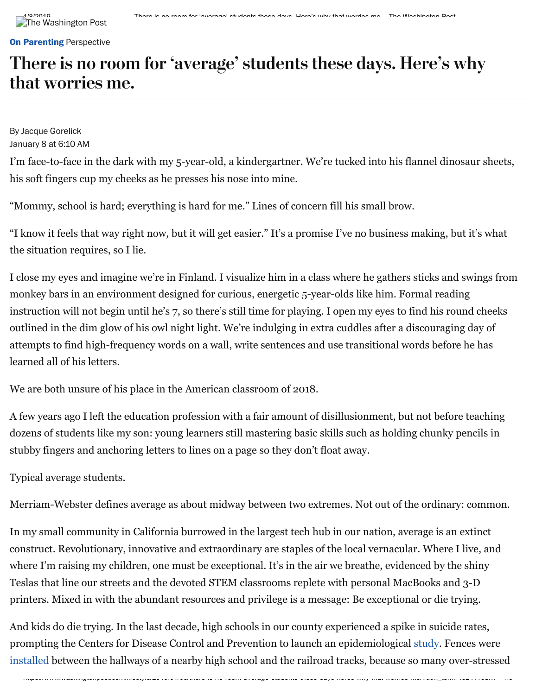## There is no room for 'average' students these days. Here's why that worries me.

By Jacque Gorelick January 8 at 6:10 AM

I'm face-to-face in the dark with my 5-year-old, a kindergartner. We're tucked into his flannel dinosaur sheets, his soft fingers cup my cheeks as he presses his nose into mine.

"Mommy, school is hard; everything is hard for me." Lines of concern fill his small brow.

"I know it feels that way right now*,* but it will get easier." It's a promise I've no business making, but it's what the situation requires, so I lie.

I close my eyes and imagine we're in Finland. I visualize him in a class where he gathers sticks and swings from monkey bars in an environment designed for curious, energetic 5-year-olds like him. Formal reading instruction will not begin until he's 7, so there's still time for playing. I open my eyes to find his round cheeks outlined in the dim glow of his owl night light. We're indulging in extra cuddles after a discouraging day of attempts to find high-frequency words on a wall, write sentences and use transitional words before he has learned all of his letters.

We are both unsure of his place in the American classroom of 2018.

A few years ago I left the education profession with a fair amount of disillusionment, but not before teaching dozens of students like my son: young learners still mastering basic skills such as holding chunky pencils in stubby fingers and anchoring letters to lines on a page so they don't float away.

Typical average students.

Merriam-Webster defines average as about midway between two extremes. Not out of the ordinary: common.

In my small community in California burrowed in the largest tech hub in our nation, average is an extinct construct. Revolutionary, innovative and extraordinary are staples of the local vernacular. Where I live, and where I'm raising my children, one must be exceptional. It's in the air we breathe, evidenced by the shiny Teslas that line our streets and the devoted STEM classrooms replete with personal MacBooks and 3-D printers. Mixed in with the abundant resources and privilege is a message: Be exceptional or die trying.

And kids do die trying. In the last decade, high schools in our county experienced a spike in suicide rates, prompting the Centers for Disease Control and Prevention to launch an epidemiological [study.](https://urldefense.proofpoint.com/v2/url?u=https-3A__www.paloaltoonline.com_news_2017_03_03_cdc-2Dreleases-2Dfinal-2Dyouth-2Dsuicide-2Dreport&d=DwMFaQ&c=RAhzPLrCAq19eJdrcQiUVEwFYoMRqGDAXQ_puw5tYjg&r=zLFD5ZLCRUyxNinxSsiA9mbgs04nc4dtADOmsR4gIaM&m=ku0aBVFFkb2yeiNztS0_xaHmlrAcPt4JFuN95n3Qx5A&s=ZUD68tTYL10dV4Ns9COgBk7kBgMMFC_lN_8QVy8Rm70&e=) Fences were [installed](https://urldefense.proofpoint.com/v2/url?u=https-3A__www.paloaltoonline.com_news_2015_07_16_palo-2Dalto-2Dprepares-2Dto-2Dboost-2Dfencing-2Dadd-2Dsensors-2Don-2Drail-2Dtracks&d=DwMFaQ&c=RAhzPLrCAq19eJdrcQiUVEwFYoMRqGDAXQ_puw5tYjg&r=zLFD5ZLCRUyxNinxSsiA9mbgs04nc4dtADOmsR4gIaM&m=ku0aBVFFkb2yeiNztS0_xaHmlrAcPt4JFuN95n3Qx5A&s=tCnxMxqrQcrSplrhtOB5ejiM3Wk_h8dvnqaUAORLkZo&e=) between the hallways of a nearby high school and the railroad tracks, because so many over-stressed

https://www.washingtonpost.com/lifestyle/2019/01/08/there-is-no-room-average-students-these-days-heres-why-that-worries-me/?utm\_term=.824116d… 1/3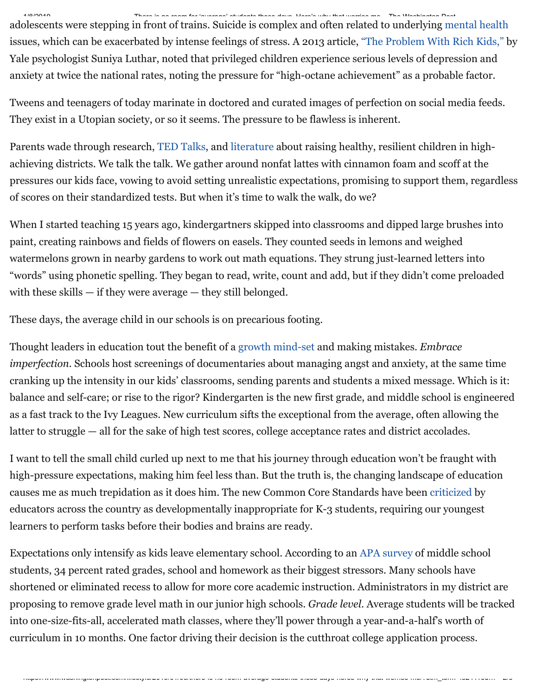adolescents were stepping in front of trains. Suicide is complex and often related to underlying [mental health](https://www.stanfordchildrens.org/en/topic/default?id=teen-suicide-90-P02584) issues, which can be exacerbated by intense feelings of stress. A 2013 article, ["The Problem With Rich Kids,"](https://urldefense.proofpoint.com/v2/url?u=https-3A__www.psychologytoday.com_us_articles_201311_the-2Dproblem-2Drich-2Dkids&d=DwMFaQ&c=RAhzPLrCAq19eJdrcQiUVEwFYoMRqGDAXQ_puw5tYjg&r=zLFD5ZLCRUyxNinxSsiA9mbgs04nc4dtADOmsR4gIaM&m=ku0aBVFFkb2yeiNztS0_xaHmlrAcPt4JFuN95n3Qx5A&s=XMtXaFTfCTok3FfymZcsPX7JZe006nQVJ_tCEecvfec&e=) by Yale psychologist Suniya Luthar, noted that privileged children experience serious levels of depression and anxiety at twice the national rates, noting the pressure for "high-octane achievement" as a probable factor.

Tweens and teenagers of today marinate in doctored and curated images of perfection on social media feeds. They exist in a Utopian society, or so it seems. The pressure to be flawless is inherent.

Parents wade through research, [TED Talks,](https://urldefense.proofpoint.com/v2/url?u=https-3A__www.app.com_story_news_education_in-2Dour-2Dschools_2017_08_09_jackson-2Dprincipal-2Draps-2Dagainst-2Dstandardized-2Dtesting_548346001_&d=DwMFaQ&c=RAhzPLrCAq19eJdrcQiUVEwFYoMRqGDAXQ_puw5tYjg&r=zLFD5ZLCRUyxNinxSsiA9mbgs04nc4dtADOmsR4gIaM&m=ku0aBVFFkb2yeiNztS0_xaHmlrAcPt4JFuN95n3Qx5A&s=u7Cwr1NRiU7AsWrvESvc7fSaPR09cDPsc7EDpAxJ37o&e=) and [literature](https://urldefense.proofpoint.com/v2/url?u=https-3A__madelinelevine.com_the-2Dprice-2Dof-2Dprivilege_&d=DwMFaQ&c=RAhzPLrCAq19eJdrcQiUVEwFYoMRqGDAXQ_puw5tYjg&r=zLFD5ZLCRUyxNinxSsiA9mbgs04nc4dtADOmsR4gIaM&m=ku0aBVFFkb2yeiNztS0_xaHmlrAcPt4JFuN95n3Qx5A&s=dpBCh842P6S3PVunUYZxx_1MqCvVn-rDA-D__EViXco&e=) about raising healthy, resilient children in highachieving districts. We talk the talk. We gather around nonfat lattes with cinnamon foam and scoff at the pressures our kids face, vowing to avoid setting unrealistic expectations, promising to support them, regardless of scores on their standardized tests. But when it's time to walk the walk, do we?

When I started teaching 15 years ago, kindergartners skipped into classrooms and dipped large brushes into paint, creating rainbows and fields of flowers on easels. They counted seeds in lemons and weighed watermelons grown in nearby gardens to work out math equations. They strung just-learned letters into "words" using phonetic spelling. They began to read, write, count and add, but if they didn't come preloaded with these skills  $-$  if they were average  $-$  they still belonged.

These days, the average child in our schools is on precarious footing.

Thought leaders in education tout the benefit of a [growth mind-set](https://www.kqed.org/mindshift/41700/growth-mindset-how-to-normalize-mistake-making-and-struggle-in-class) and making mistakes. *Embrace imperfection.* Schools host screenings of documentaries about managing angst and anxiety, at the same time cranking up the intensity in our kids' classrooms, sending parents and students a mixed message. Which is it: balance and self-care; or rise to the rigor? Kindergarten is the new first grade, and middle school is engineered as a fast track to the Ivy Leagues. New curriculum sifts the exceptional from the average, often allowing the latter to struggle — all for the sake of high test scores, college acceptance rates and district accolades.

I want to tell the small child curled up next to me that his journey through education won't be fraught with high-pressure expectations, making him feel less than. But the truth is, the changing landscape of education causes me as much trepidation as it does him. The new Common Core Standards have been [criticized](https://urldefense.proofpoint.com/v2/url?u=https-3A__www.kqed.org_mindshift_39816_does-2Dcommon-2Dcore-2Dask-2Dtoo-2Dmuch-2Dof-2Dkindergarten-2Dreaders&d=DwMFaQ&c=RAhzPLrCAq19eJdrcQiUVEwFYoMRqGDAXQ_puw5tYjg&r=zLFD5ZLCRUyxNinxSsiA9mbgs04nc4dtADOmsR4gIaM&m=ku0aBVFFkb2yeiNztS0_xaHmlrAcPt4JFuN95n3Qx5A&s=Wd748c2eDw0c5YWWeA1mU8GCIOAKBIPHs9fVI0EJsfg&e=) by educators across the country as developmentally inappropriate for K-3 students, requiring our youngest learners to perform tasks before their bodies and brains are ready.

Expectations only intensify as kids leave elementary school. According to an [APA survey](https://urldefense.proofpoint.com/v2/url?u=https-3A__www.apa.org_news_press_releases_stress_2009_stress-2Dexec-2Dsummary.pdf&d=DwMFaQ&c=RAhzPLrCAq19eJdrcQiUVEwFYoMRqGDAXQ_puw5tYjg&r=zLFD5ZLCRUyxNinxSsiA9mbgs04nc4dtADOmsR4gIaM&m=ku0aBVFFkb2yeiNztS0_xaHmlrAcPt4JFuN95n3Qx5A&s=adzocwsmXuRPBTugLvFQCy01ItDDmRVMuTuzOGFgDVM&e=) of middle school students, 34 percent rated grades, school and homework as their biggest stressors. Many schools have shortened or eliminated recess to allow for more core academic instruction. Administrators in my district are proposing to remove grade level math in our junior high schools. *Grade level*. Average students will be tracked into one-size-fits-all, accelerated math classes, where they'll power through a year-and-a-half's worth of curriculum in 10 months. One factor driving their decision is the cutthroat college application process.

https://www.washingtonpost.com/lifestyle/2019/01/08/there-is-no-room-average-students-these-days-heres-why-that-worries-me/?utm\_term=.824116d… 2/3